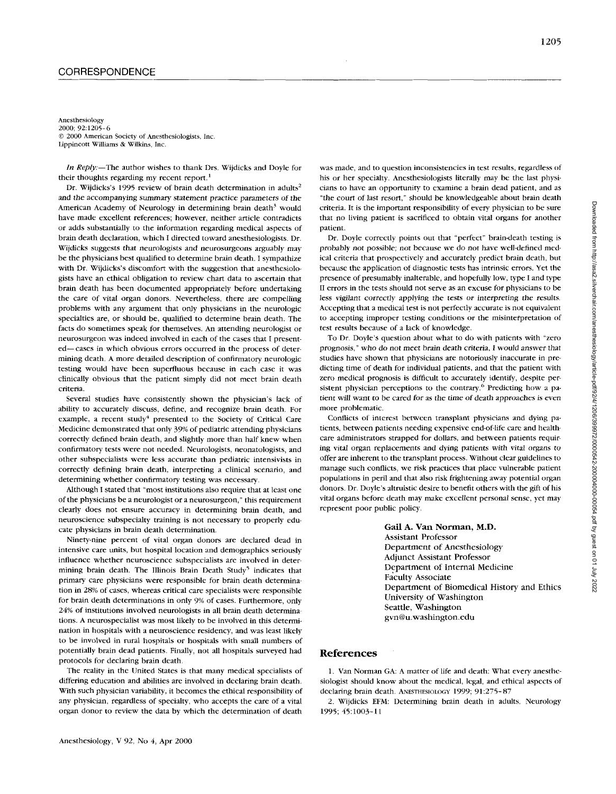Anesthesiology 2000; 92:1205-6 *0* 2000 American Society of Anesthesiologists, Inc Lippincott Williams & Wilkins, Inc.

*In Reply*:—The author wishes to thank Drs. Wijdicks and Doyle for their thoughts regarding my recent report.<sup>1</sup>

Dr. Wijdicks's 1995 review of brain death determination in adults' and the accompanying summary statement practice parameters of the American Academy of Neurology in determining brain death<sup>3</sup> would have made excellent references; however, neither article contradicts or adds substantially to the information regarding medical aspects of brain death declaration, which I directed toward anesthesiologists. Dr. Wijdicks suggests that neurologists and neurosurgeons arguably may be the physicians best qualified to determine brain death. I sympathize with Dr. Wijdicks's discomfort with the suggestion that anesthesiologists have an ethical obligation to review chart data to ascertain that brain death has been documented appropriately before undertaking the care of vital organ donors. Nevertheless, there are compelling problems with any argument that only physicians in the neurologic specialties are, or should be, qualified to determine brain death. The facts do sometimes speak for themselves. **An** attending neurologist or neurosurgeon was indeed involved in each of the cases that I presented-cases in which obvious errors occurred in the process of determining death. A more detailed description of confirmatory neurologic testing would have been superfluous because in each case it was clinically obvious that the patient simply did not meet brain death criteria

Several studies have consistently shown the physician's lack of ability to accurately discuss, define, and recognize brain death. For example, a recent study<sup>4</sup> presented to the Society of Critical Care Medicine demonstrated that only 39% of pediatric attending physicians correctly defined brain death, and slightly more than half knew when confirmatory tests were not needed. Neurologists, neonatologists, and other subspecialists were **less** accurate than pediatric intensivists in correctly defining brain death, interpreting a clinical scenario, and determining whether confirmatory testing was necessary.

Although I stated that "most institutions also require that at least one of the physicians be a neurologist or a neurosurgeon," this requirement clearly does not ensure accuracy in determining brain death, and neuroscience subspecialty training is not necessary to properly educate physicians in brain death determination.

Ninety-nine percent of vital organ donors are declared dead in intensive care units, but hospital location and demographics seriously influence whether neuroscience subspecialists are involved in determining brain death. The Illinois Brain Death Study' indicates that primary care physicians were responsible for brain death determination in *28%* of cases, whereas critical care specialists were responsible for brain death determinations in only 9% of cases. Furthermore, only *24%)* of institutions involved neurologists in all brain death determinations. A neurospecialist was most likely to be involved in this determination in hospitals with a neuroscience residency, and was least likely to be involved in rural hospitals or hospitals with small numbers of potentially brain dead patients. Finally, not all hospitals surveyed had protocols for declaring brain death.

The reality in the United States is that many medical specialists of differing education and abilities are involved in declaring brain death. With such physician variability, it becomes the ethical responsibility of any physician, regardless of specialty, who accepts the care of a vital organ donor to review the data by which the determination of death

was made, and to question inconsistencies in test results, regardless **of**  his or her specialty. Anesthesiologists literally may be the last physicians to have an opportunity to examine a brain dead patient, and as "the court of last resort," should be knowledgeable about brain death criteria. It is the important responsibility of every physician to be sure that no living patient is sacrificed to obtain vital organs for another patient.

Dr. Doyle correctly points out that "perfect" brain-death testing is probably not possible; not because we do not have well-defined medical criteria that prospectively and accurately predict brain death, but because the application of diagnostic tests has intrinsic errors. Yet **the**  presence of presumably inalterable, and hopefully low, type I and type I1 errors in the tests should not **serve** as an excuse for physicians to be less vigilant correctly applying the tests *or* interpreting the results. Accepting that a medical test is not perfectly accurate is not equivalent to accepting improper testing conditions **or** the misintefpretation of test results because of a lack of knowledge.

To Dr. Doyle's question about what to do with patients with "zero prognosis," who do not meet brain death criteria, I would answer that studies have shown that physicians are notoriously inaccurate in predicting time of death for individual patients, and that the patient with zero medical prognosis is difficult to accurately identify, despite persistent physician perceptions to the contrary.<sup>6</sup> Predicting how a patient will want to be cared for as the time of death approaches is even more problematic.

Conflicts of interest between transplant physicians and dying pdtients, between patients needing expensive end-of-life care and healthcare administrators strapped for dollars, and between patients requiring vital organ replacements and dying patients with vital organs to offer are inherent to the transplant process. Without clear guidelines to manage such conflicts, we risk practices that place vulnerable patient populations in peril and that also risk frightening away potential organ donors. Dr. Doyle's altruistic desire to benefit others with the gift of his vital organs before death may make excellent personal sense, yet may represent poor public policy.

> **Gail A. Van Norman, M.D.**  Assistant Professor Department of Anesthesiology Adjunct Assistant Professor Department of Internal Medicine Faculty Associate Department of Biomedical History and Ethics University of Washington Seattle, Washington gvn@u.washington.edu

## **References**

1, Van Norman GA: A matter of life and death: What every anesthcsiologist should know about the medical, legal, and ethical aspects of declaring brain death. **ANESTHESIOLOGY 1999; 91:275-** *87* 

2. Wijdicks **EFM:** Determining brain death in adults. Neurology 1995; 45:10O3-11